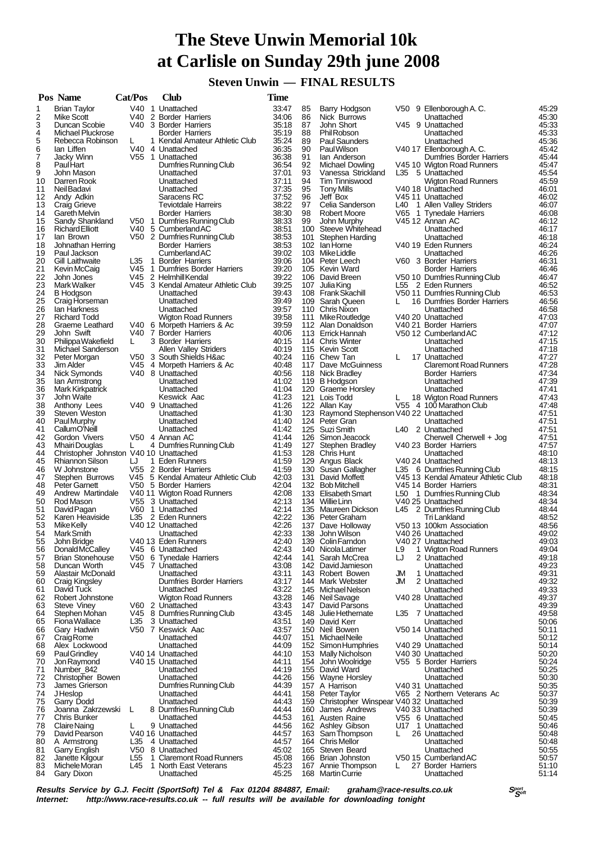## **The Steve Unwin Memorial 10k at Carlisle on Sunday 29th june 2008**

 **Steven Unwin — FINAL RESULTS**

|          | Pos Name                                                 | Cat/Pos | Club                                                  | <b>Time</b>    |            |                                            |     |                                                    |                |
|----------|----------------------------------------------------------|---------|-------------------------------------------------------|----------------|------------|--------------------------------------------|-----|----------------------------------------------------|----------------|
| 1        | <b>Brian Taylor</b>                                      |         | V40 1 Unattached                                      | 33:47          | 85         | Barry Hodgson                              |     | V50 9 Ellenborough A.C.                            | 45:29          |
| 2        | Mike Scott                                               |         | V40 2 Border Harriers                                 | 34:06          | 86         | Nick Burrows                               |     | Unattached                                         | 45:30          |
| 3<br>4   | Duncan Scobie<br>Michael Pluckrose                       |         | V40 3 Border Harriers<br>Border Harriers              | 35:18<br>35:19 | 87<br>88   | John Short<br>Phil Robson                  |     | V45 9 Unattached<br>Unattached                     | 45:33<br>45:33 |
| 5        | Rebecca Robinson                                         | L       | 1 Kendal Amateur Athletic Club                        | 35:24          | 89         | <b>Paul Saunders</b>                       |     | Unattached                                         | 45:36          |
| 6        | lan Liffen                                               |         | V40 4 Unattached                                      | 36:35          | 90         | <b>PaulWilson</b>                          |     | V40 17 Ellenborough A.C.                           | 45:42          |
| 7        | Jacky Winn                                               |         | V55 1 Unattached                                      | 36:38          | 91         | lan Anderson                               |     | Dumfries Border Harriers                           | 45:44          |
| 8        | <b>PaulHart</b>                                          |         | Dumfries Running Club                                 | 36:54          | 92         | Michael Dowling                            |     | V45 10 Wigton Road Runners                         | 45:47          |
| 9        | John Mason                                               |         | Unattached                                            | 37:01          | 93         | Vanessa Strickland                         |     | L35 5 Unattached                                   | 45.54          |
| 10<br>11 | Darren Rook<br>Neil Badavi                               |         | Unattached<br>Unattached                              | 37:11<br>37:35 | 94<br>95   | <b>Tim Tinniswood</b><br><b>Tony Mills</b> |     | Wigton Road Runners<br>V40 18 Unattached           | 45:59<br>46:01 |
| 12       | Andy Adkin                                               |         | Saracens RC                                           | 37:52          | 96         | Jeff Box                                   |     | V45 11 Unattached                                  | 46:02          |
| 13       | Craig Grieve                                             |         | <b>Teviotdale Harreirs</b>                            | 38:22          | 97         | Celia Sanderson                            | L40 | 1 Allen Valley Striders                            | 46:07          |
| 14       | Gareth Melvin                                            |         | <b>Border Harriers</b>                                | 38:30          | 98         | <b>Robert Moore</b>                        |     | V65 1 Tynedale Harriers                            | 46:08          |
| 15       | Sandy Shankland                                          |         | V50 1 Dumfries Running Club                           | 38:33          | 99         | John Murphy                                |     | V45 12 Annan AC                                    | 46:12          |
| 16       | <b>Richard Elliott</b>                                   |         | V40 5 Cumberland AC                                   | 38:51          |            | 100 Steeve Whitehead                       |     | Unattached                                         | 46:17          |
| 17<br>18 | lan Brown<br>Johnathan Herring                           |         | V50 2 Dumfries Running Club<br><b>Border Harriers</b> | 38.53<br>38:53 |            | 101 Stephen Harding<br>102 Ian Horne       |     | Unattached<br>V40 19 Eden Runners                  | 46:18<br>46:24 |
| 19       | Paul Jackson                                             |         | CumberlandAC                                          | 39:02          |            | 103 Mike Liddle                            |     | Unattached                                         | 46:26          |
| 20       | Gill Laithwaite                                          | L35     | 1 Border Harriers                                     | 39:06          |            | 104 Peter Leech                            |     | V60 3 Border Harriers                              | 46:31          |
| 21       | Kevin McCaig                                             |         | V45 1 Dumfries Border Harriers                        | 39:20          |            | 105 Kevin Ward                             |     | Border Harriers                                    | 46:46          |
| 22       | John Jones                                               |         | V45 2 Helmhill Kendal                                 | 39:22          |            | 106 David Breen                            |     | V50 10 Dumfries Running Club                       | 46:47          |
| 23       | Mark Walker                                              |         | V45 3 Kendal Amateur Athletic Club<br>Unattached      | 39:25<br>39:43 |            | 107 Julia King<br>108 Frank Skachill       |     | L55 2 Eden Runners<br>V50 11 Dumfries Running Club | 46:52          |
| 24<br>25 | <b>B</b> Hodgson<br>Craig Horseman                       |         | Unattached                                            | 39:49          |            | 109 Sarah Queen                            |     | 16 Dumfries Border Harriers                        | 46:53<br>46.56 |
| 26       | lan Harkness                                             |         | Unattached                                            | 39:57          |            | 110 Chris Nixon                            |     | Unattached                                         | 46:58          |
| 27       | <b>Richard Todd</b>                                      |         | <b>Wigton Road Runners</b>                            | 39:58          |            | 111 Mike Routledge                         |     | V40 20 Unattached                                  | 47:03          |
| 28       | Graeme Leathard                                          |         | V40 6 Morpeth Harriers & Ac                           | 39:59          |            | 112 Alan Donaldson                         |     | V40 21 Border Harriers                             | 47:07          |
| 29       | John Swift                                               |         | V40 7 Border Harriers                                 | 40:06          |            | 113 Errick Hannah                          |     | V50 12 Cumberland AC                               | 47:12          |
| 30<br>31 | Philippa Wakefield                                       | L.      | 3 Border Harriers<br><b>Allen Valley Striders</b>     | 40:15<br>40:19 |            | 114 Chris Winter<br>115 Kevin Scott        |     | Unattached<br>Unattached                           | 47:15<br>47:18 |
| 32       | Michael Sanderson<br>Peter Morgan                        |         | V50 3 South Shields H∾                                | 40:24          |            | 116 Chew Tan                               | L   | 17 Unattached                                      | 47:27          |
| 33       | Jim Alder                                                |         | V45 4 Morpeth Harriers & Ac                           | 40:48          |            | 117 Dave McGuinness                        |     | <b>Claremont Road Runners</b>                      | 47:28          |
| 34       | Nick Symonds                                             |         | V40 8 Unattached                                      | 40:56          |            | 118 Nick Bradley                           |     | <b>Border Harriers</b>                             | 47:34          |
| 35       | lan Armstrong                                            |         | Unattached                                            | 41:02          |            | 119 B Hodgson                              |     | Unattached                                         | 47:39          |
| 36       | <b>Mark Kirkpatrick</b>                                  |         | Unattached                                            | 41:04          |            | 120 Graeme Horsley                         |     | Unattached                                         | 47:41          |
| 37<br>38 | John Waite<br>Anthony Lees                               |         | Keswick Aac<br>V40 9 Unattached                       | 41:23<br>41:26 |            | 121 Lois Todd<br>122 Allan Kay             | L   | 18 Wigton Road Runners<br>V55 4 100 Marathon Club  | 47:43<br>47:48 |
| 39       | Steven Weston                                            |         | Unattached                                            | 41:30          |            | 123 Raymond Stephenson V40 22 Unattached   |     |                                                    | 47:51          |
| 40       | Paul Murphy                                              |         | Unattached                                            | 41:40          |            | 124 Peter Gran                             |     | Unattached                                         | 47:51          |
| 41       | CallumO'Neill                                            |         | Unattached                                            | 41:42          |            | 125 Suzi Smith                             |     | L40 2 Unattached                                   | 47:51          |
| 42       | Gordon Vivers                                            |         | V50 4 Annan AC                                        | 41:44          |            | 126 Simon Jeacock                          |     | Cherwell Cherwell + Jog                            | 47.51          |
| 43<br>44 | Mhairi Douglas<br>Christopher Johnston V40 10 Unattached | L.      | 4 Dumfries Running Club                               | 41:49<br>41:53 | 127        | Stephen Bradley                            |     | V40 23 Border Harriers                             | 47:57<br>48:10 |
| 45       | <b>Rhiannon Silson</b>                                   | IJ      | 1 Eden Runners                                        | 41:59          |            | 128 Chris Hunt<br>129 Angus Black          |     | Unattached<br>V40 24 Unattached                    | 48:13          |
| 46       | W Johnstone                                              |         | V55 2 Border Harriers                                 | 41:59          | 130        | Susan Gallagher                            |     | L35 6 Dumfries Running Club                        | 48:15          |
| 47       | Stephen Burrows                                          |         | V45 5 Kendal Amateur Athletic Club                    | 42:03          |            | 131 David Moffett                          |     | V45 13 Kendal Amateur Athletic Club                | 48:18          |
| 48       | <b>Peter Garnett</b>                                     |         | V50 5 Border Harriers                                 | 42:04          |            | 132 Bob Mitchell                           |     | V45 14 Border Harriers                             | 48:31          |
| 49       | Andrew Martindale                                        |         | V40 11 Wigton Road Runners                            | 42:08<br>42:13 |            | 133 Elisabeth Smart                        |     | L50 1 Dumfries Running Club                        | 48:34          |
| 50<br>51 | Rod Mason<br>David Pagan                                 |         | V55 3 Unattached<br>V60 1 Unattached                  | 42:14          |            | 134 Willie Linn<br>135 Maureen Dickson     |     | V40 25 Unattached<br>L45 2 Dumfries Running Club   | 48:34<br>48:44 |
| 52       | Karen Heaviside                                          |         | L35 2 Eden Runners                                    | 42:22          |            | 136 Peter Graham                           |     | Tri Lankland                                       | 48:52          |
| 53       | Mike Kelly                                               |         | V40 12 Unattached                                     | 42:26          |            | 137 Dave Holloway                          |     | V50 13 100km Association                           | 48:56          |
| 54       | Mark Smith                                               |         | Unattached                                            | 42:33          |            | 138 John Wilson                            |     | V40 26 Unattached                                  | 49:02          |
| 55       | John Bridge                                              |         | V40 13 Eden Runners                                   | 42:40          |            | 139 Colin Farndon                          |     | V40 27 Unattached                                  | 49:03          |
| 56       | Donald McCalley<br><b>Brian Stonehouse</b>               |         | V45 6 Unattached                                      | 42:43<br>42:44 | 140        | Nicola Latimer                             | L9  | 1 Wigton Road Runners<br>2 Unattached              | 49:04          |
| 57<br>58 | Duncan Worth                                             | V50     | 6 Tynedale Harriers<br>V45 7 Unattached               | 43:08          | 141<br>142 | Sarah McCrea<br>David Jamieson             | LJ  | Unattached                                         | 49:18<br>49:23 |
| 59       | Alastair McDonald                                        |         | Unattached                                            | 43:11          | 143        | Robert Bowen                               | JМ  | 1 Unattached                                       | 49.31          |
| 60       | <b>Craig Kingsley</b>                                    |         | <b>Dumfries Border Harriers</b>                       | 43:17          | 144        | Mark Webster                               | JM  | 2 Unattached                                       | 49:32          |
| 61       | David Tuck                                               |         | Unattached                                            | 43:22          |            | 145 Michael Nelson                         |     | Unattached                                         | 49:33          |
| 62       | Robert Johnstone                                         |         | Wigton Road Runners                                   | 43:28          |            | 146 Neil Savage                            |     | V40 28 Unattached                                  | 49:37          |
| 63<br>64 | <b>Steve Viney</b><br>Stephen Mohan                      |         | V60 2 Unattached<br>V45 8 Dumfries Running Club       | 43:43<br>43:45 | 147<br>148 | David Parsons<br>Julie Hethernate          |     | Unattached<br>L35 7 Unattached                     | 49:39<br>49:58 |
| 65       | Fiona Wallace                                            | L35     | 3 Unattached                                          | 43.51          |            | 149 David Kerr                             |     | Unattached                                         | 50:06          |
| 66       | Gary Hadwin                                              |         | V50 7 Keswick Aac                                     | 43:57          |            | 150 Neil Bowen                             |     | V50 14 Unattached                                  | 50:11          |
| 67       | Craig Rome                                               |         | Unattached                                            | 44:07          | 151        | Michael Neile                              |     | Unattached                                         | 50:12          |
| 68       | Alex Lockwood                                            |         | Unattached                                            | 44:09          |            | 152 Simon Humphries                        |     | V40 29 Unattached                                  | 50:14          |
| 69       | <b>PaulGrindlev</b>                                      |         | V40 14 Unattached                                     | 44:10          | 153        | Mally Nicholson                            |     | V40 30 Unattached                                  | 50:20          |
| 70<br>71 | Jon Raymond<br>Number_842                                |         | V40 15 Unattached<br>Unattached                       | 44:11<br>44:19 | 154<br>155 | John Woolridge<br>David Ward               |     | V55 5 Border Harriers<br>Unattached                | 50:24<br>50:25 |
| 72       | Christopher Bowen                                        |         | Unattached                                            | 44:26          |            | 156 Wayne Horsley                          |     | Unattached                                         | 50:30          |
| 73       | James Grierson                                           |         | Dumfries Running Club                                 | 44:39          |            | 157 A Harrison                             |     | V40 31 Unattached                                  | 50:35          |
| 74       | J Heslop                                                 |         | Unattached                                            | 44:41          |            | 158 Peter Taylor                           |     | V65 2 Northern Veterans Ac                         | 50:37          |
| 75       | Garry Dodd                                               |         | Unattached                                            | 44:43          | 159        | Christopher Winspear V40 32 Unattached     |     |                                                    | 50:39          |
| 76       | Joanna Zakrzewski                                        | L       | 8 Dumfries Running Club                               | 44:44          | 160        | James Andrews                              |     | V40 33 Unattached                                  | 50:39          |
| 77<br>78 | <b>Chris Bunker</b><br>Claire Naing                      |         | Unattached<br>9 Unattached                            | 44:53<br>44:56 | 161        | <b>Austen Raine</b><br>162 Ashley Gibson   |     | V55 6 Unattached<br>U17 1 Unattached               | 50:45<br>50:46 |
| 79       | David Pearson                                            |         | V40 16 Unattached                                     | 44:57          |            | 163 Sam Thompson                           | L   | 26 Unattached                                      | 50:48          |
| 80       | A Armstrong                                              | L35     | 4 Unattached                                          | 44.57          | 164        | <b>Chris Mellor</b>                        |     | Unattached                                         | 50:48          |
| 81       | Garry English                                            |         | V50 8 Unattached                                      | 45:02          |            | 165 Steven Beard                           |     | Unattached                                         | 50:55          |
| 82       | Janette Kilgour                                          | L55     | 1 Claremont Road Runners                              | 45:08          |            | 166 Brian Johnston                         |     | V50 15 Cumberland AC                               | 50:57          |
| 83       | Michele Moran                                            | L45     | 1 North East Veterans                                 | 45:23          | 167        | Annie Thompson                             | L   | 27 Border Harriers                                 | 51:10          |
| 84       | Gary Dixon                                               |         | Unattached                                            | 45:25          |            | 168 Martin Currie                          |     | Unattached                                         | 51:14          |

**Results Service by G.J. Fecitt (SportSoft) Tel & Fax 01204 884887, Email: graham@race-results.co.uk S<sup>port</sup>on S<sup>port</sup>on Constant Constant Constant Constant Constant Constant Constant Constant Constant Property Internet: h** http://www.race-results.co.uk -- full results will be available for downloading tonight